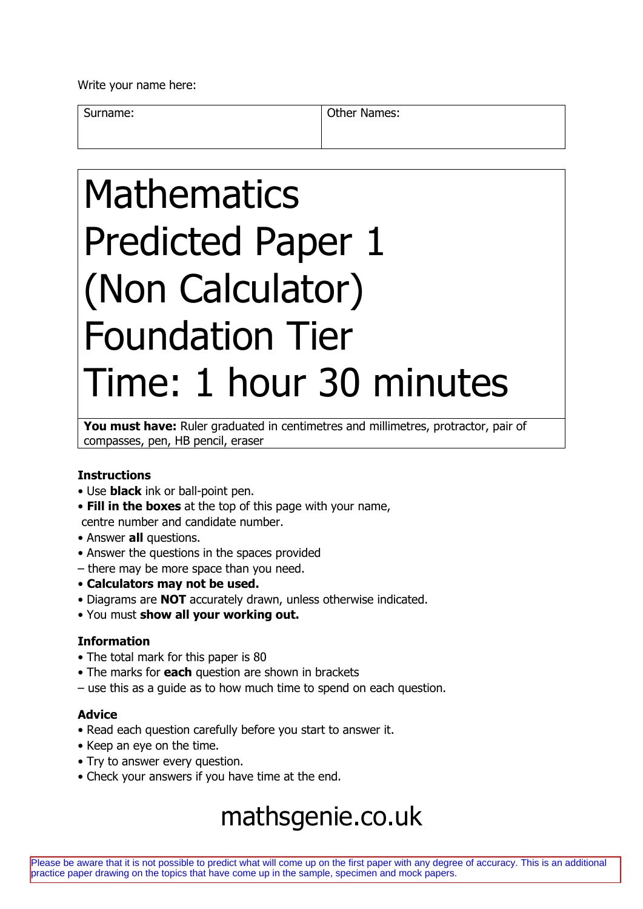Write your name here:

Surname: Surname: Communication of the Mannes:

# Mathematics Predicted Paper 1 (Non Calculator) Foundation Tier Time: 1 hour 30 minutes

**You must have:** Ruler graduated in centimetres and millimetres, protractor, pair of compasses, pen, HB pencil, eraser

## **Instructions**

- Use **black** ink or ball-point pen.
- **Fill in the boxes** at the top of this page with your name, centre number and candidate number.
- Answer **all** questions.
- Answer the questions in the spaces provided
- there may be more space than you need.
- **Calculators may not be used.**
- Diagrams are **NOT** accurately drawn, unless otherwise indicated.
- You must **show all your working out.**

## **Information**

- The total mark for this paper is 80
- The marks for **each** question are shown in brackets
- use this as a guide as to how much time to spend on each question.

#### **Advice**

- Read each question carefully before you start to answer it.
- Keep an eye on the time.
- Try to answer every question.
- Check your answers if you have time at the end.

# mathsgenie.co.uk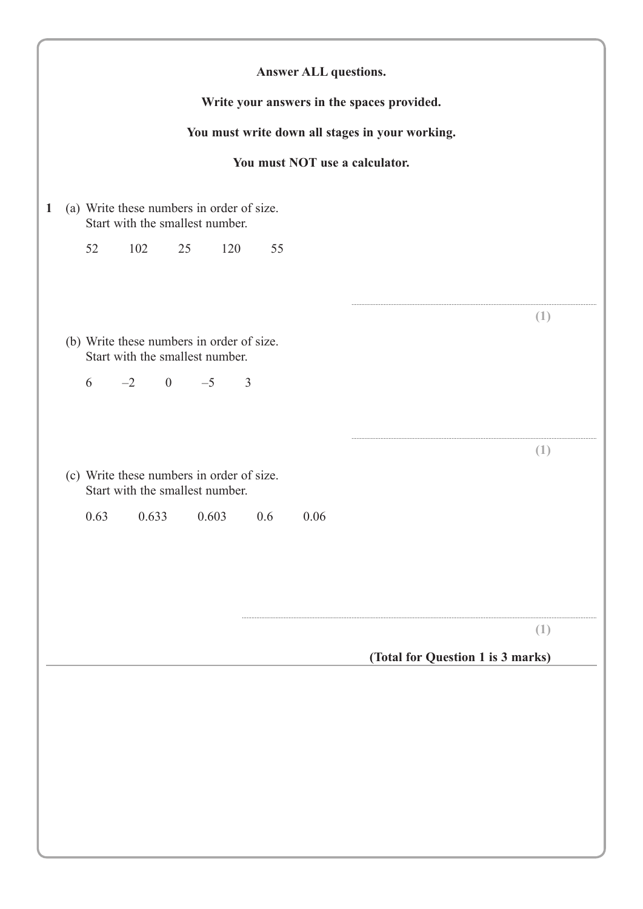|    |      |                                 |    |       |     |                                           |      | Write your answers in the spaces provided.      |                                   |
|----|------|---------------------------------|----|-------|-----|-------------------------------------------|------|-------------------------------------------------|-----------------------------------|
|    |      |                                 |    |       |     |                                           |      | You must write down all stages in your working. |                                   |
|    |      |                                 |    |       |     |                                           |      | You must NOT use a calculator.                  |                                   |
|    |      | Start with the smallest number. |    |       |     | (a) Write these numbers in order of size. |      |                                                 |                                   |
| 52 |      | 102                             | 25 |       | 120 | 55                                        |      |                                                 |                                   |
|    |      |                                 |    |       |     |                                           |      |                                                 |                                   |
|    |      |                                 |    |       |     |                                           |      |                                                 | (1)                               |
|    |      | Start with the smallest number. |    |       |     | (b) Write these numbers in order of size. |      |                                                 |                                   |
|    |      | $6 \t -2 \t 0 \t -5$            |    |       |     | $\overline{3}$                            |      |                                                 |                                   |
|    |      |                                 |    |       |     |                                           |      |                                                 |                                   |
|    |      |                                 |    |       |     |                                           |      |                                                 | (1)                               |
|    |      | Start with the smallest number. |    |       |     | (c) Write these numbers in order of size. |      |                                                 |                                   |
|    | 0.63 | 0.633                           |    | 0.603 |     | 0.6                                       | 0.06 |                                                 |                                   |
|    |      |                                 |    |       |     |                                           |      |                                                 |                                   |
|    |      |                                 |    |       |     |                                           |      |                                                 |                                   |
|    |      |                                 |    |       |     |                                           |      |                                                 | (1)                               |
|    |      |                                 |    |       |     |                                           |      |                                                 | (Total for Question 1 is 3 marks) |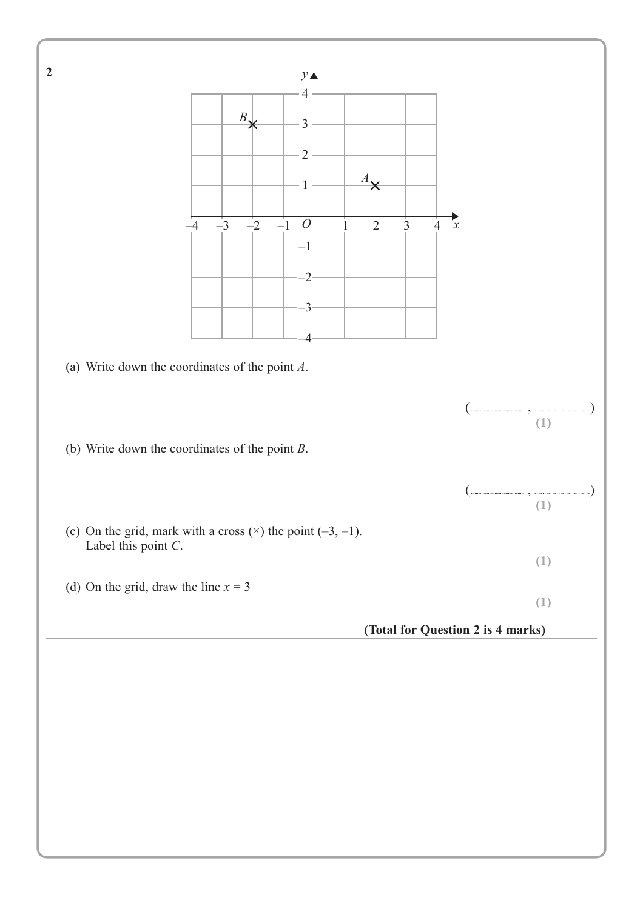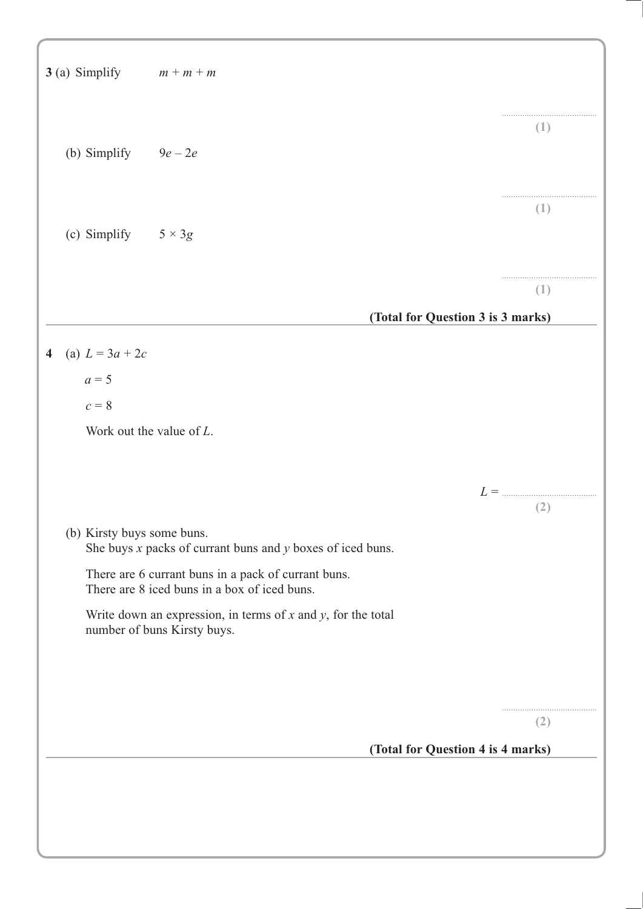|                         | 3 (a) Simplify $m + m + m$ |                                                                                                     |                                   |     |
|-------------------------|----------------------------|-----------------------------------------------------------------------------------------------------|-----------------------------------|-----|
|                         | (b) Simplify $9e-2e$       |                                                                                                     |                                   | (1) |
|                         | (c) Simplify $5 \times 3g$ |                                                                                                     |                                   | (1) |
|                         |                            |                                                                                                     |                                   | (1) |
|                         |                            |                                                                                                     | (Total for Question 3 is 3 marks) |     |
| $\overline{\mathbf{4}}$ | (a) $L = 3a + 2c$          |                                                                                                     |                                   |     |
|                         | $a=5$                      |                                                                                                     |                                   |     |
|                         | $c=8$                      |                                                                                                     |                                   |     |
|                         |                            | Work out the value of $L$ .                                                                         |                                   |     |
|                         |                            |                                                                                                     |                                   |     |
|                         |                            |                                                                                                     | $L =$                             |     |
|                         |                            |                                                                                                     |                                   | (2) |
|                         | (b) Kirsty buys some buns. | She buys $x$ packs of currant buns and $y$ boxes of iced buns.                                      |                                   |     |
|                         |                            | There are 6 currant buns in a pack of currant buns.<br>There are 8 iced buns in a box of iced buns. |                                   |     |
|                         |                            | Write down an expression, in terms of $x$ and $y$ , for the total<br>number of buns Kirsty buys.    |                                   |     |
|                         |                            |                                                                                                     |                                   |     |
|                         |                            |                                                                                                     |                                   |     |
|                         |                            |                                                                                                     |                                   | (2) |
|                         |                            |                                                                                                     | (Total for Question 4 is 4 marks) |     |
|                         |                            |                                                                                                     |                                   |     |
|                         |                            |                                                                                                     |                                   |     |
|                         |                            |                                                                                                     |                                   |     |
|                         |                            |                                                                                                     |                                   |     |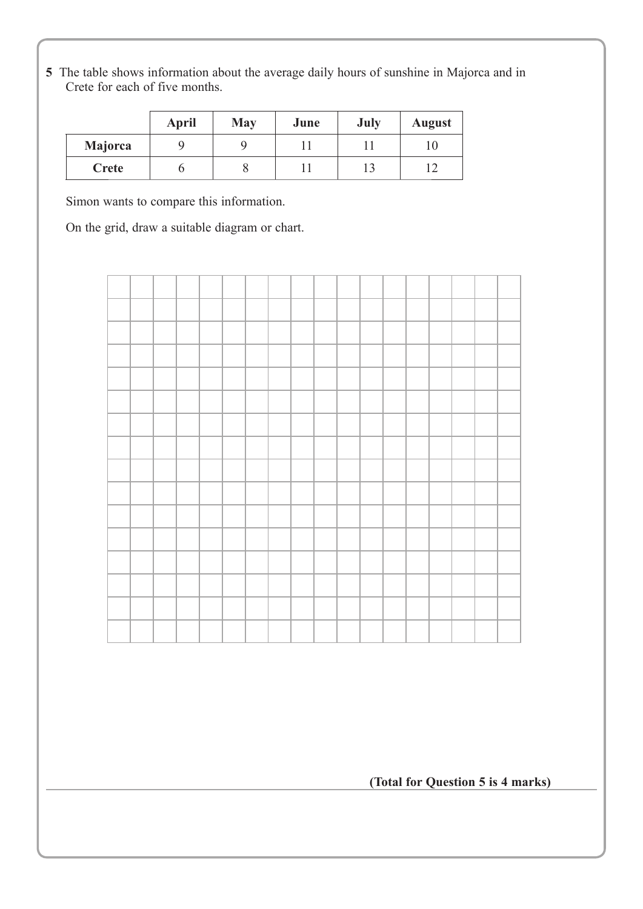**5** The table shows information about the average daily hours of sunshine in Majorca and in Crete for each of five months.

|         | <b>April</b> | <b>May</b> | June | July | <b>August</b> |
|---------|--------------|------------|------|------|---------------|
| Majorca |              |            |      |      |               |
| Crete   |              |            |      |      |               |

Simon wants to compare this information.

On the grid, draw a suitable diagram or chart.



**(Total for Question 5 is 4 marks)**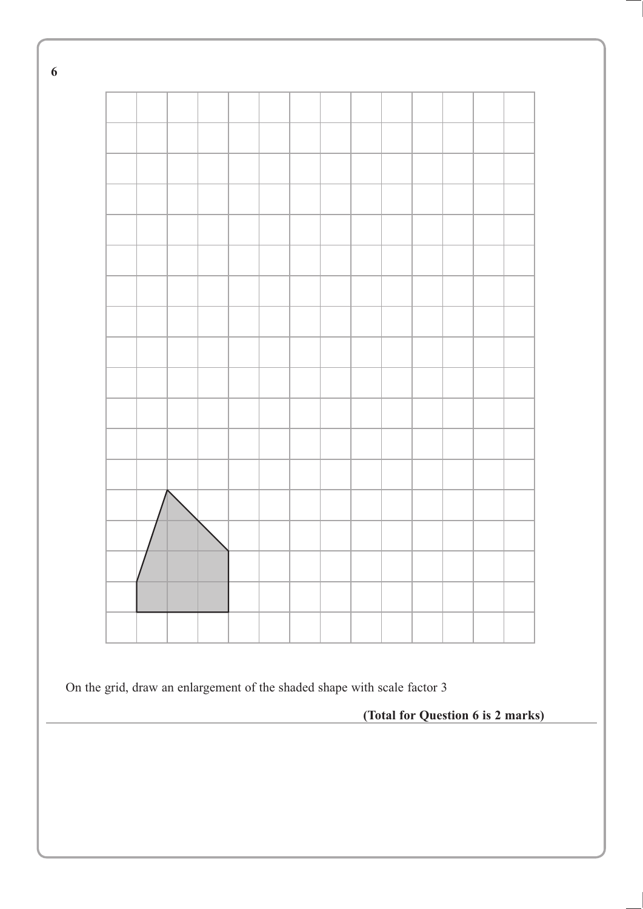

On the grid, draw an enlargement of the shaded shape with scale factor 3

**(Total for Question 6 is 2 marks)** 

**6**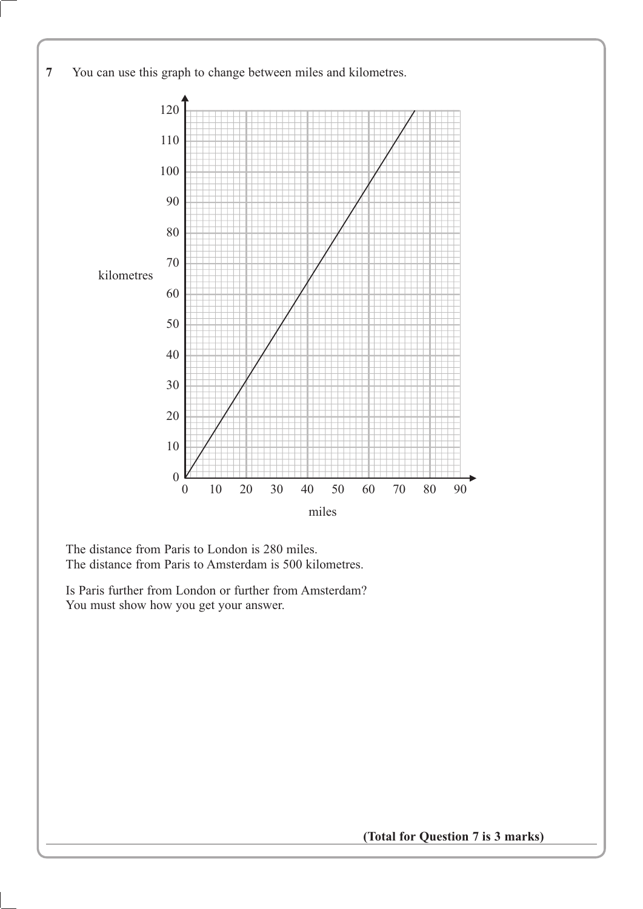

The distance from Paris to London is 280 miles. The distance from Paris to Amsterdam is 500 kilometres.

Is Paris further from London or further from Amsterdam? You must show how you get your answer.

(Total for Question 7 is 3 marks)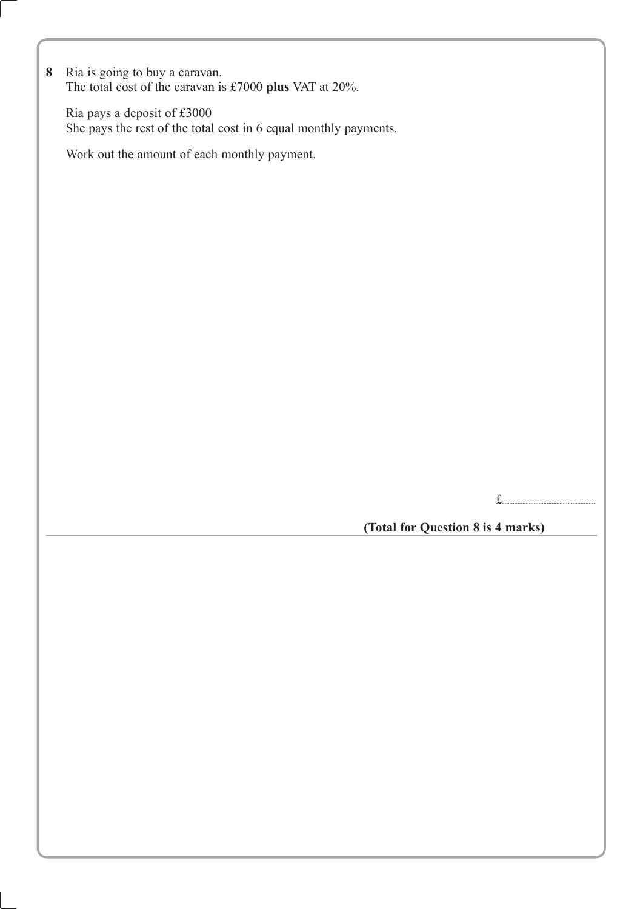**8** Ria is going to buy a caravan. The total cost of the caravan is £7000 **plus** VAT at 20%.

Ria pays a deposit of £3000 She pays the rest of the total cost in 6 equal monthly payments.

Work out the amount of each monthly payment.

£. .........................................................

**(Total for Question 8 is 4 marks)**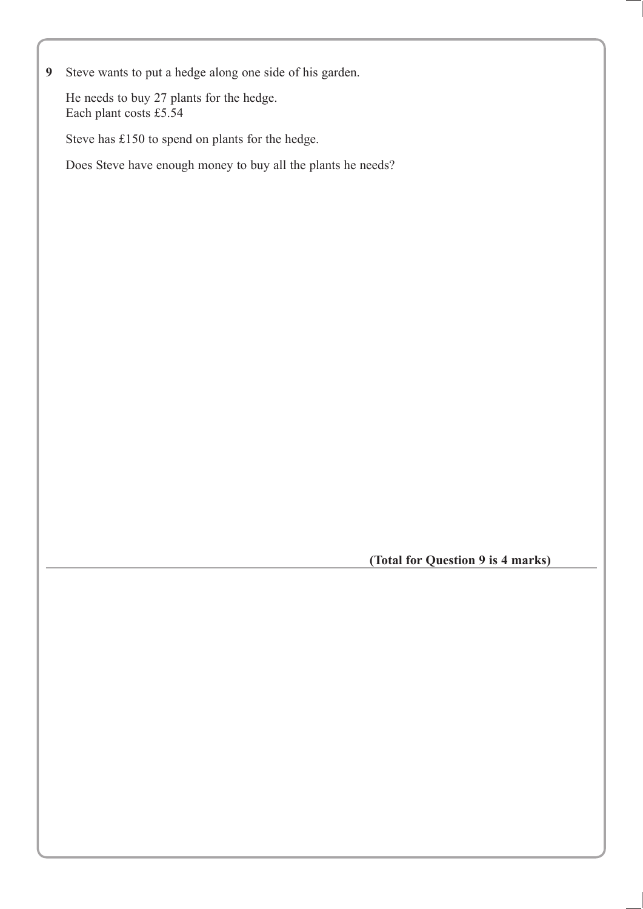**9** Steve wants to put a hedge along one side of his garden.

He needs to buy 27 plants for the hedge. Each plant costs £5.54

Steve has £150 to spend on plants for the hedge.

Does Steve have enough money to buy all the plants he needs?

**(Total for Question 9 is 4 marks)**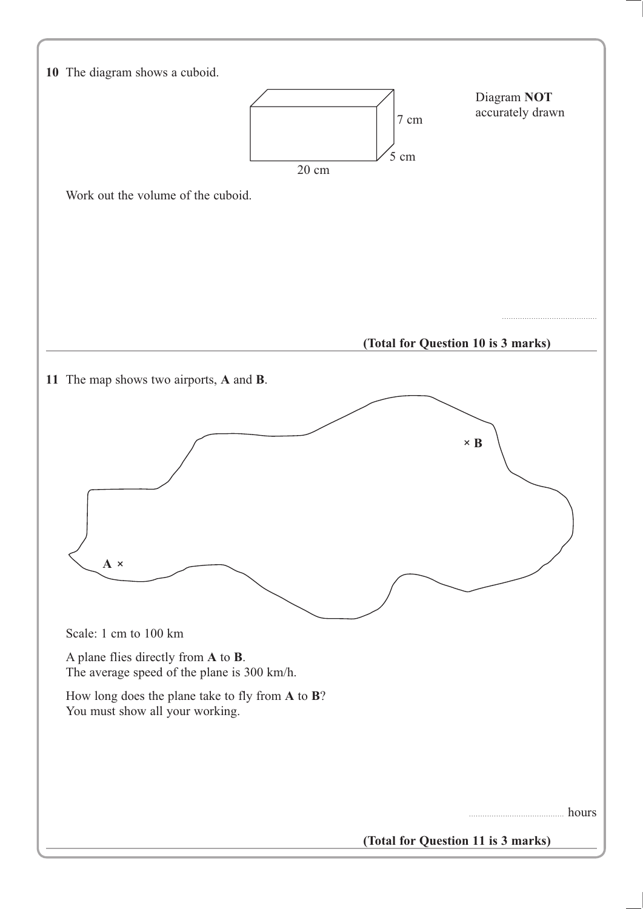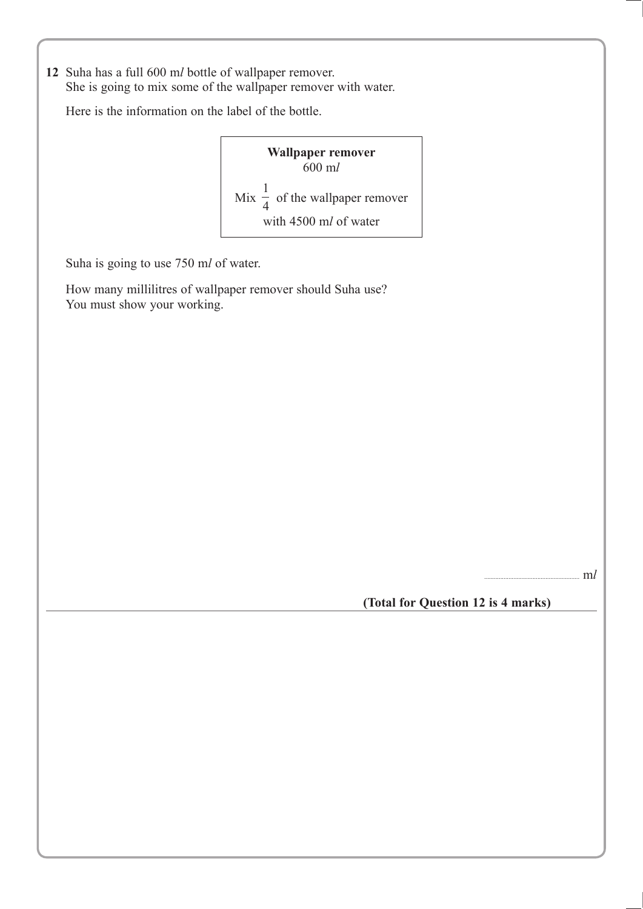12 Suha has a full 600 ml bottle of wallpaper remover. She is going to mix some of the wallpaper remover with water.

Here is the information on the label of the bottle.

**Wallpaper remover** 600 m*O* Mix  $\frac{1}{4}$  of the wallpaper remover<br>with 4500 ml of water with 4500 ml of water

Suha is going to use 750 ml of water.

How many millilitres of wallpaper remover should Suha use? You must show your working.

 $. \text{m}$ *l* 

**(Total for Question 12 is 4 marks)**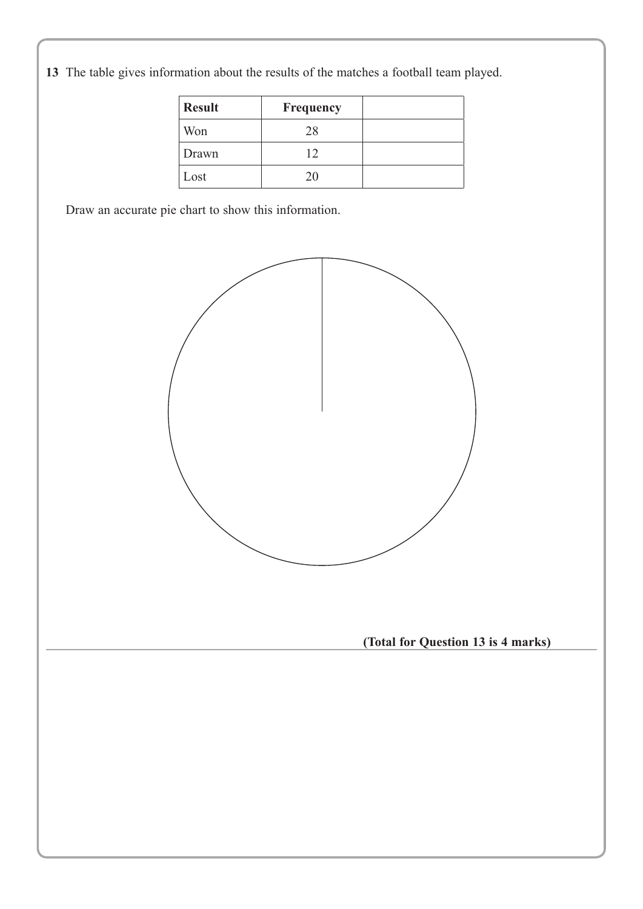**13** The table gives information about the results of the matches a football team played.

| <b>Result</b>   | Frequency |  |
|-----------------|-----------|--|
| Won             | 28        |  |
| Drawn           |           |  |
| $\mathsf{Lost}$ | 20        |  |

Draw an accurate pie chart to show this information.

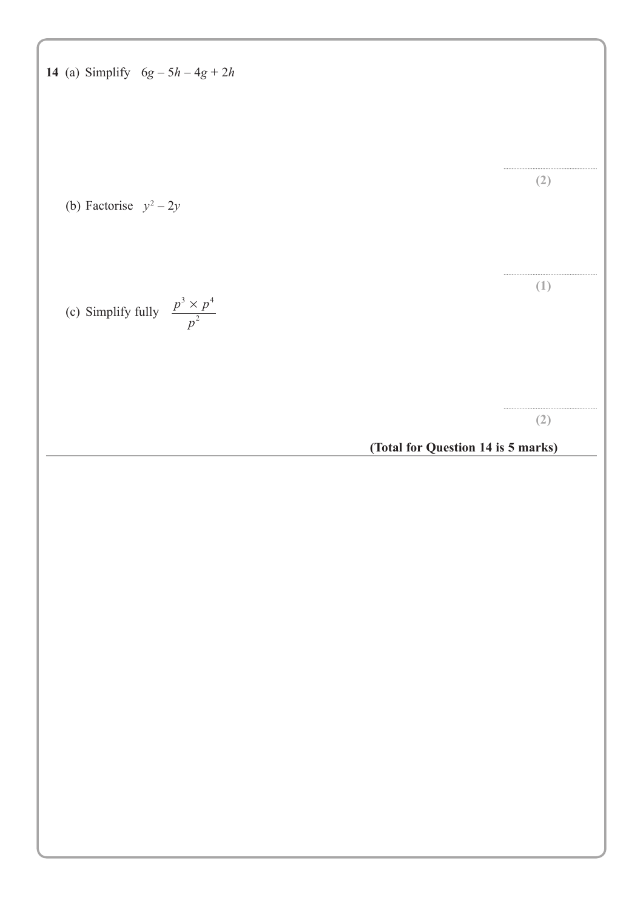14 (a) Simplify 
$$
6g - 5h - 4g + 2h
$$

\n(b) Factorise  $y^2 - 2y$ 

\n(c) Simplify fully  $\frac{p^2 \times p^4}{p^2}$ 

\n(Total for Question 14 is 5 marks)

\n(Total for Question 14 is 5 marks)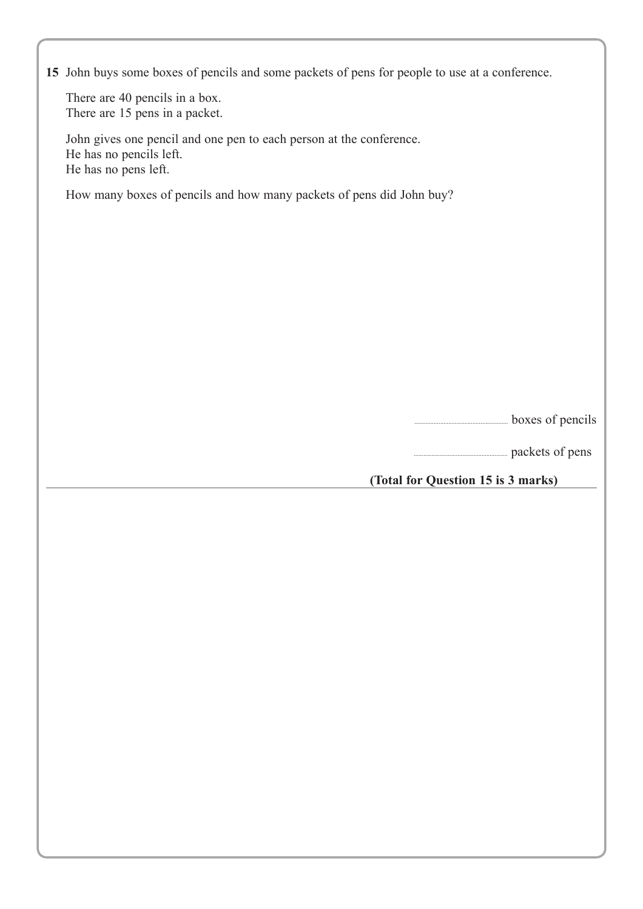|  |  |  |  |  | 15 John buys some boxes of pencils and some packets of pens for people to use at a conference. |
|--|--|--|--|--|------------------------------------------------------------------------------------------------|
|  |  |  |  |  |                                                                                                |

There are 40 pencils in a box. There are 15 pens in a packet.

John gives one pencil and one pen to each person at the conference. He has no pencils left. He has no pens left.

How many boxes of pencils and how many packets of pens did John buy?

.......................................................... boxes of pencils

.......................................................... packets of pens

**(Total for Question 15 is 3 marks)**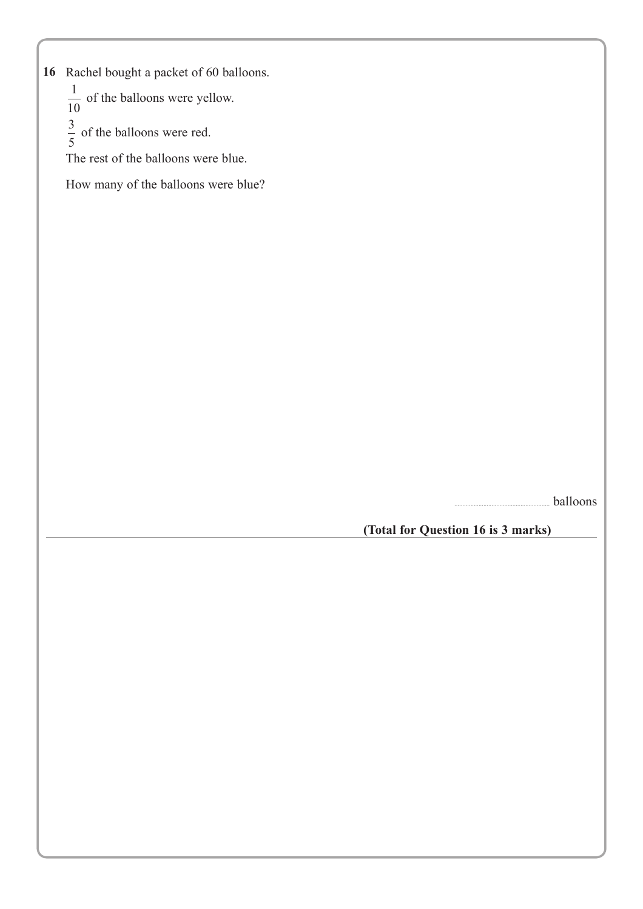16 Rachel bought a packet of 60 balloons.

 $\frac{1}{10}$  of the balloons were yellow.

 $\frac{3}{5}$  of the balloons were red.

The rest of the balloons were blue.

How many of the balloons were blue?

........................................................... balloons

**(Total for Question 16 is 3 marks)**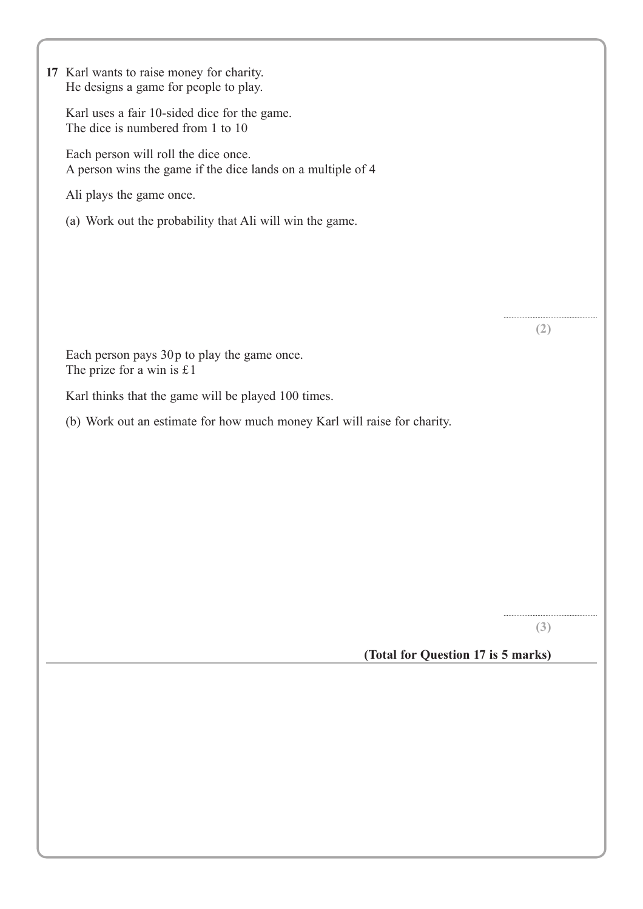| 17 Karl wants to raise money for charity.<br>He designs a game for people to play.                  |     |
|-----------------------------------------------------------------------------------------------------|-----|
| Karl uses a fair 10-sided dice for the game.<br>The dice is numbered from 1 to 10                   |     |
| Each person will roll the dice once.<br>A person wins the game if the dice lands on a multiple of 4 |     |
| Ali plays the game once.                                                                            |     |
| (a) Work out the probability that Ali will win the game.                                            |     |
|                                                                                                     |     |
|                                                                                                     |     |
|                                                                                                     |     |
|                                                                                                     | (2) |
| Each person pays 30p to play the game once.<br>The prize for a win is £1                            |     |
| Karl thinks that the game will be played 100 times.                                                 |     |
| (b) Work out an estimate for how much money Karl will raise for charity.                            |     |
|                                                                                                     |     |
|                                                                                                     |     |
|                                                                                                     |     |
|                                                                                                     |     |
|                                                                                                     |     |
|                                                                                                     |     |
|                                                                                                     |     |
|                                                                                                     | (3) |
| (Total for Question 17 is 5 marks)                                                                  |     |
|                                                                                                     |     |
|                                                                                                     |     |
|                                                                                                     |     |
|                                                                                                     |     |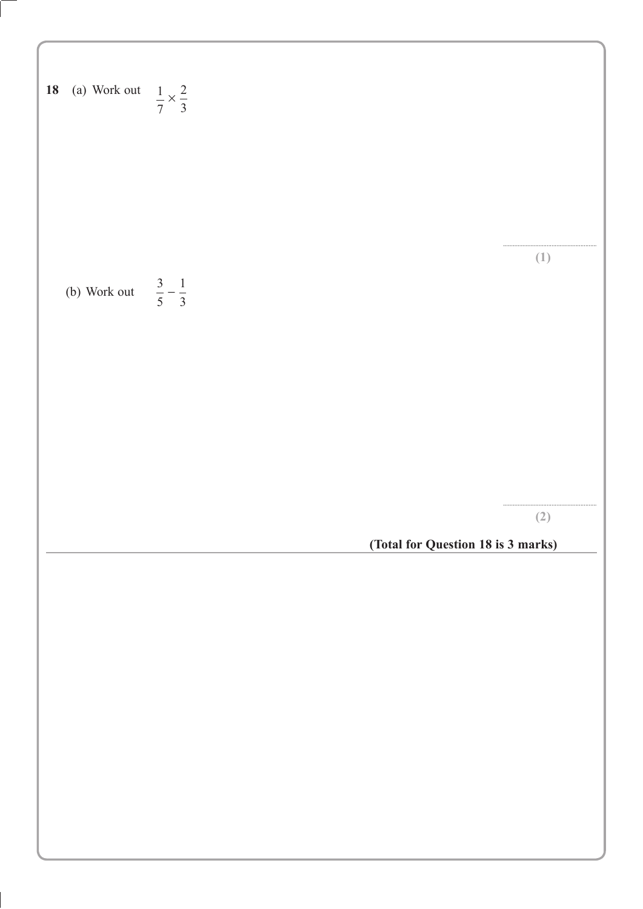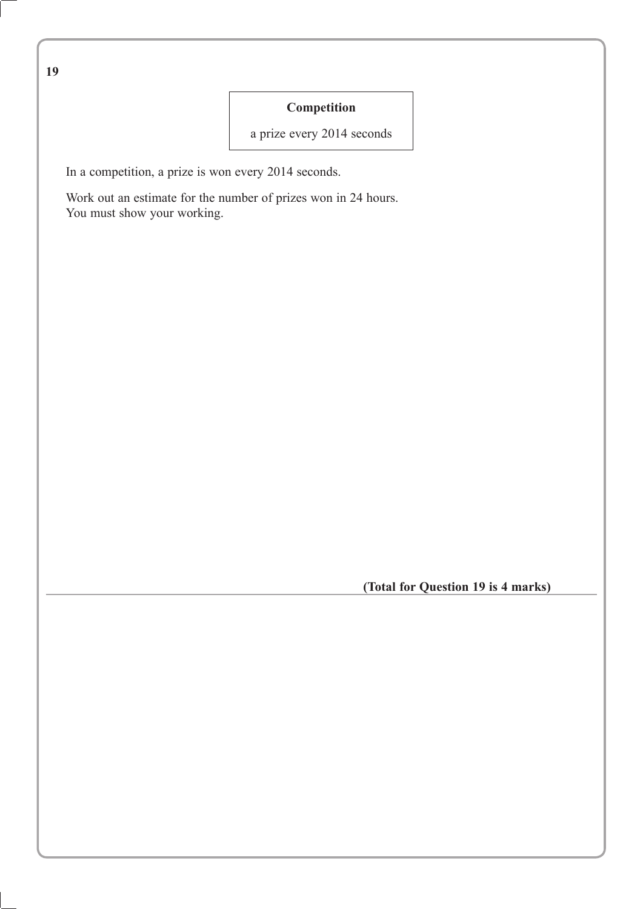**19**

#### **Competition**

a prize every 2014 seconds

In a competition, a prize is won every 2014 seconds.

Work out an estimate for the number of prizes won in 24 hours. You must show your working.

**(Total for Question 19 is 4 marks)**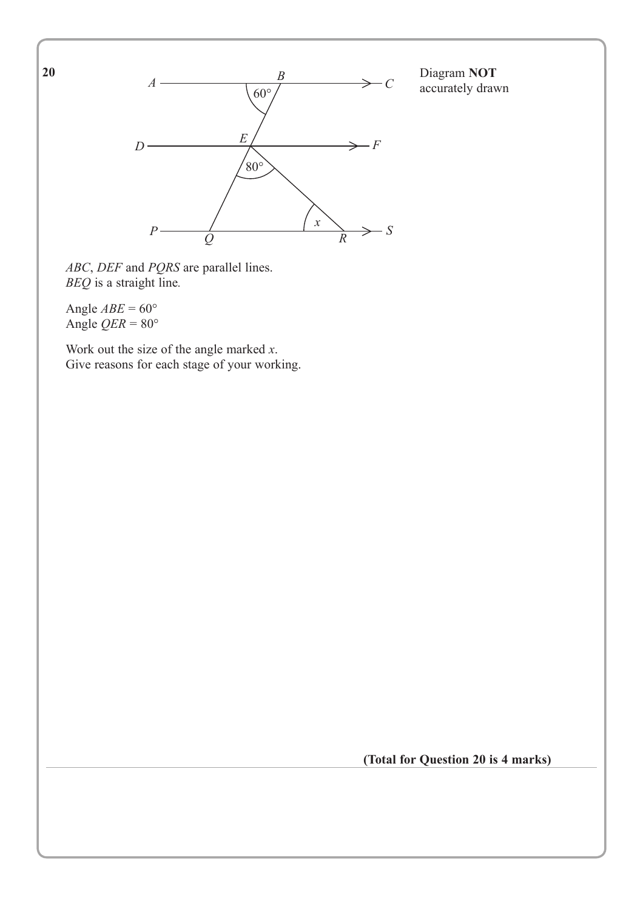**20**



Diagram **NOT** accurately drawn

*ABC*, *DEF* and *PQRS* are parallel lines. *BEQ* is a straight line*.*

Angle  $ABE = 60^\circ$ Angle  $QER = 80^\circ$ 

Work out the size of the angle marked *x*. Give reasons for each stage of your working.

**(Total for Question 20 is 4 marks)**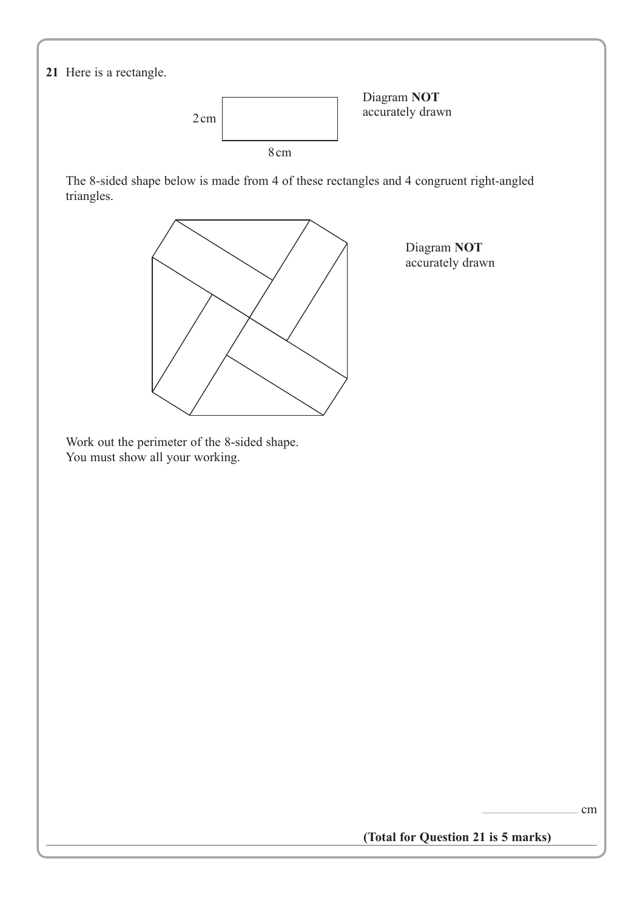

**(Total for Question 21 is 5 marks)**